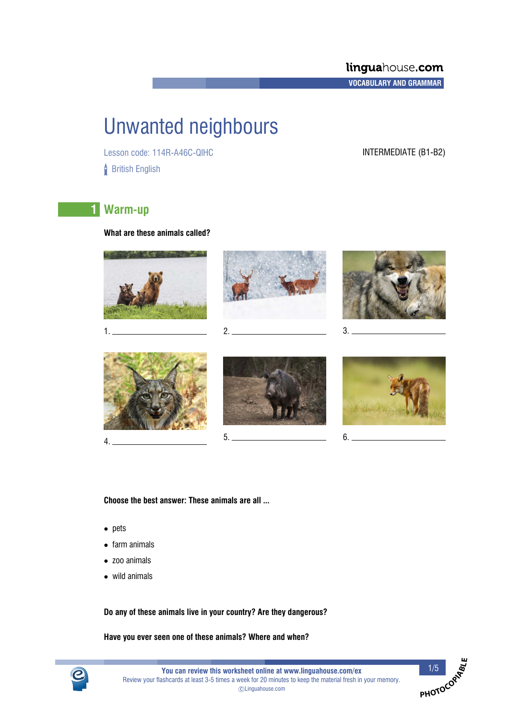# Unwanted neighbours

Lesson code: 114R-A46C-QIHC INTERMEDIATE (B1-B2) **British English** 

## **1 Warm-up**

**What are these animals called?**



**Choose the best answer: These animals are all ...**

- pets
- farm animals
- zoo animals
- wild animals

**Do any of these animals live in your country? Are they dangerous?**

**Have you ever seen one of these animals? Where and when?**



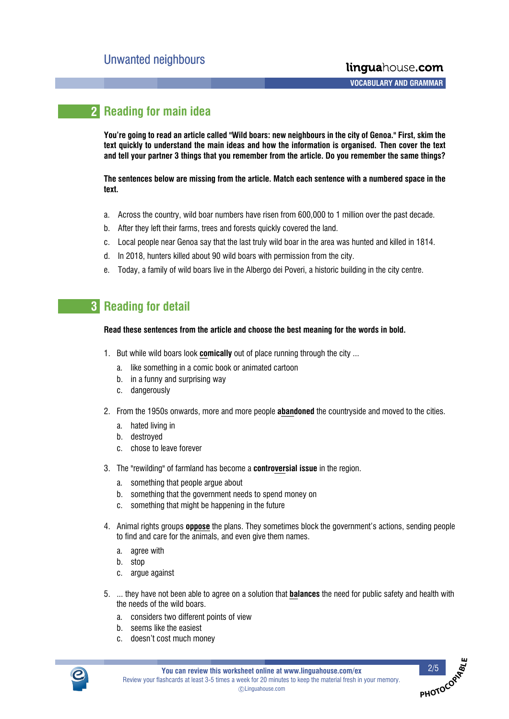## **2 Reading for main idea**

**You're going to read an article called "Wild boars: new neighbours in the city of Genoa." First, skim the text quickly to understand the main ideas and how the information is organised. Then cover the text and tell your partner 3 things that you remember from the article. Do you remember the same things?**

**The sentences below are missing from the article. Match each sentence with a numbered space in the text.**

- a. Across the country, wild boar numbers have risen from 600,000 to 1 million over the past decade.
- b. After they left their farms, trees and forests quickly covered the land.
- c. Local people near Genoa say that the last truly wild boar in the area was hunted and killed in 1814.
- d. In 2018, hunters killed about 90 wild boars with permission from the city.
- e. Today, a family of wild boars live in the Albergo dei Poveri, a historic building in the city centre.

### **3 Reading for detail**

### **Read these sentences from the article and choose the best meaning for the words in bold.**

- 1. But while wild boars look **comically** out of place running through the city ...
	- a. like something in a comic book or animated cartoon
	- b. in a funny and surprising way
	- c. dangerously
- 2. From the 1950s onwards, more and more people **abandoned** the countryside and moved to the cities.
	- a. hated living in
	- b. destroyed
	- c. chose to leave forever
- 3. The "rewilding" of farmland has become a **controversial issue** in the region.
	- a. something that people argue about
	- b. something that the government needs to spend money on
	- c. something that might be happening in the future
- 4. Animal rights groups **oppose** the plans. They sometimes block the government's actions, sending people to find and care for the animals, and even give them names.
	- a. agree with
	- b. stop
	- c. argue against
- 5. ... they have not been able to agree on a solution that **balances** the need for public safety and health with the needs of the wild boars.
	- a. considers two different points of view
	- b. seems like the easiest
	- c. doesn't cost much money



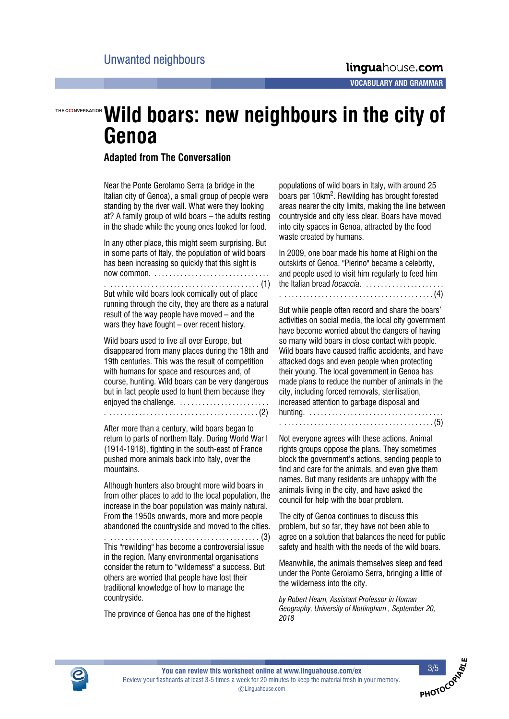## THE CONVERSATION **Wild boars: new neighbours in the city of Genoa**

### **Adapted from The Conversation**

Near the Ponte Gerolamo Serra (a bridge in the Italian city of Genoa), a small group of people were standing by the river wall. What were they looking at? A family group of wild boars  $-$  the adults resting in the shade while the young ones looked for food.

In any other place, this might seem surprising. But in some parts of Italy, the population of wild boars has been increasing so quickly that this sight is now common. . . . . . . . . . . . . . . . . . . . . . . . . . . . . . . .

. . . . . . . . . . . . . . . . . . . . . . . . . . . . . . . . . . . . . . . . . (1)

But while wild boars look comically out of place running through the city, they are there as a natural result of the way people have moved – and the wars they have fought  $-$  over recent history.

Wild boars used to live all over Europe, but disappeared from many places during the 18th and 19th centuries. This was the result of competition with humans for space and resources and, of course, hunting. Wild boars can be very dangerous but in fact people used to hunt them because they enjoyed the challenge. ......................... . . . . . . . . . . . . . . . . . . . . . . . . . . . . . . . . . . . . . . . . . (2)

After more than a century, wild boars began to return to parts of northern Italy. During World War I (1914-1918), fighting in the south-east of France pushed more animals back into Italy, over the mountains.

Although hunters also brought more wild boars in from other places to add to the local population, the increase in the boar population was mainly natural. From the 1950s onwards, more and more people abandoned the countryside and moved to the cities.

. . . . . . . . . . . . . . . . . . . . . . . . . . . . . . . . . . . . . . . . . (3) This "rewilding" has become a controversial issue in the region. Many environmental organisations consider the return to "wilderness" a success. But others are worried that people have lost their traditional knowledge of how to manage the countryside.

The province of Genoa has one of the highest

populations of wild boars in Italy, with around 25 boars per 10km<sup>2</sup>. Rewilding has brought forested areas nearer the city limits, making the line between countryside and city less clear. Boars have moved into city spaces in Genoa, attracted by the food waste created by humans.

In 2009, one boar made his home at Righi on the outskirts of Genoa. "Pierino" became a celebrity, and people used to visit him regularly to feed him the Italian bread *focaccia*. . . . . . . . . . . . . . . . . . . . . .

. . . . . . . . . . . . . . . . . . . . . . . . . . . . . . . . . . . . . . . . . (4)

But while people often record and share the boars' activities on social media, the local city government have become worried about the dangers of having so many wild boars in close contact with people. Wild boars have caused traffic accidents, and have attacked dogs and even people when protecting their young. The local government in Genoa has made plans to reduce the number of animals in the city, including forced removals, sterilisation, increased attention to garbage disposal and hunting. . . . . . . . . . . . . . . . . . . . . . . . . . . . . . . . . . . . . . . . . . . . . . . . . . . . . . . . . . . . . . . . . . . . . . . . . . . . . . (5)

Not everyone agrees with these actions. Animal rights groups oppose the plans. They sometimes block the government's actions, sending people to find and care for the animals, and even give them names. But many residents are unhappy with the animals living in the city, and have asked the council for help with the boar problem.

The city of Genoa continues to discuss this problem, but so far, they have not been able to agree on a solution that balances the need for public safety and health with the needs of the wild boars.

Meanwhile, the animals themselves sleep and feed under the Ponte Gerolamo Serra, bringing a little of the wilderness into the city.

*by Robert Hearn, Assistant Professor in Human Geography, University of Nottingham , September 20, 2018*



**PHOTOCO**O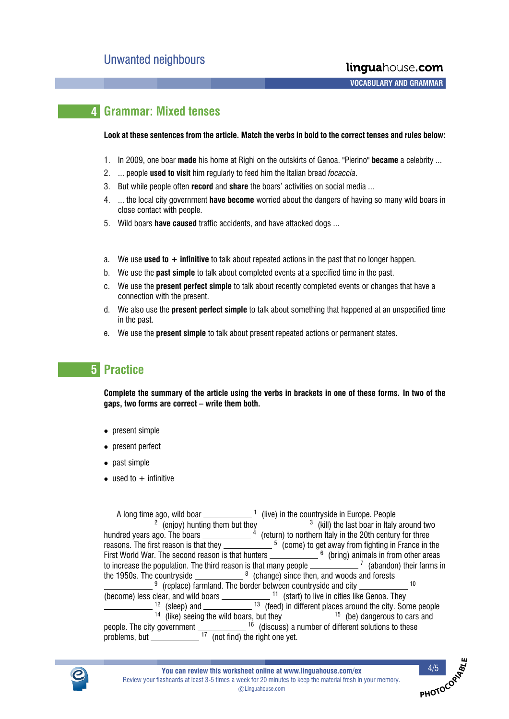### **4 Grammar: Mixed tenses**

#### **Look at these sentences from the article. Match the verbs in bold to the correct tenses and rules below:**

- 1. In 2009, one boar **made** his home at Righi on the outskirts of Genoa. "Pierino" **became** a celebrity ...
- 2. ... people **used to visit** him regularly to feed him the Italian bread *focaccia*.
- 3. But while people often **record** and **share** the boars' activities on social media ...
- 4. ... the local city government **have become** worried about the dangers of having so many wild boars in close contact with people.
- 5. Wild boars **have caused** traffic accidents, and have attacked dogs ...
- a. We use **used to + infinitive** to talk about repeated actions in the past that no longer happen.
- b. We use the **past simple** to talk about completed events at a specified time in the past.
- c. We use the **present perfect simple** to talk about recently completed events or changes that have a connection with the present.
- d. We also use the **present perfect simple** to talk about something that happened at an unspecified time in the past.
- e. We use the **present simple** to talk about present repeated actions or permanent states.

### **5 Practice**

**Complete the summary of the article using the verbs in brackets in one of these forms. In two of the** gaps, two forms are correct – write them both.

- present simple
- present perfect
- past simple
- used to  $+$  infinitive

| A long time ago, wild boar $\sqrt{ }$ (live) in the countryside in Europe. People                             |  |
|---------------------------------------------------------------------------------------------------------------|--|
| $\frac{2}{\pi}$ (enjoy) hunting them but they $\frac{3}{\pi}$ (kill) the last boar in Italy around two        |  |
| hundred years ago. The boars $\_\_$ (return) to northern Italy in the 20th century for three                  |  |
| reasons. The first reason is that they $\frac{5}{2}$ (come) to get away from fighting in France in the        |  |
| First World War. The second reason is that hunters $\frac{1}{2}$ equals 6 (bring) animals in from other areas |  |
| to increase the population. The third reason is that many people ______________7 (abandon) their farms in     |  |
| the 1950s. The countryside $\frac{8}{2}$ (change) since then, and woods and forests                           |  |
| $\frac{9}{2}$ (replace) farmland. The border between countryside and city $\frac{10}{2}$                      |  |
| (become) less clear, and wild boars _______________ <sup>11</sup> (start) to live in cities like Genoa. They  |  |
| $\frac{12}{12}$ (sleep) and $\frac{13}{13}$ (feed) in different places around the city. Some people           |  |
| $\frac{14}{2}$ (like) seeing the wild boars, but they $\frac{15}{2}$ (be) dangerous to cars and               |  |
| people. The city government $\frac{16}{200}$ (discuss) a number of different solutions to these               |  |
| problems, but $\frac{17}{12}$ (not find) the right one yet.                                                   |  |



**PHOTOCO**RALLE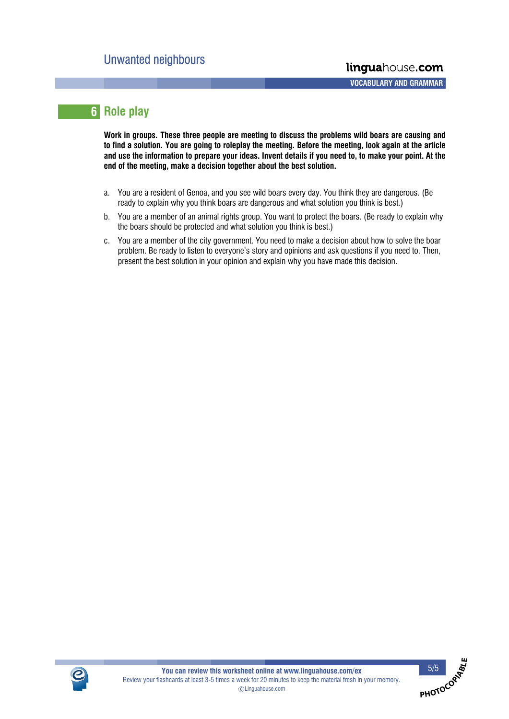## **6 Role play**

**Work in groups. These three people are meeting to discuss the problems wild boars are causing and to find a solution. You are going to roleplay the meeting. Before the meeting, look again at the article and use the information to prepare your ideas. Invent details if you need to, to make your point. At the end of the meeting, make a decision together about the best solution.**

- a. You are a resident of Genoa, and you see wild boars every day. You think they are dangerous. (Be ready to explain why you think boars are dangerous and what solution you think is best.)
- b. You are a member of an animal rights group. You want to protect the boars. (Be ready to explain why the boars should be protected and what solution you think is best.)
- c. You are a member of the city government. You need to make a decision about how to solve the boar problem. Be ready to listen to everyone's story and opinions and ask questions if you need to. Then, present the best solution in your opinion and explain why you have made this decision.



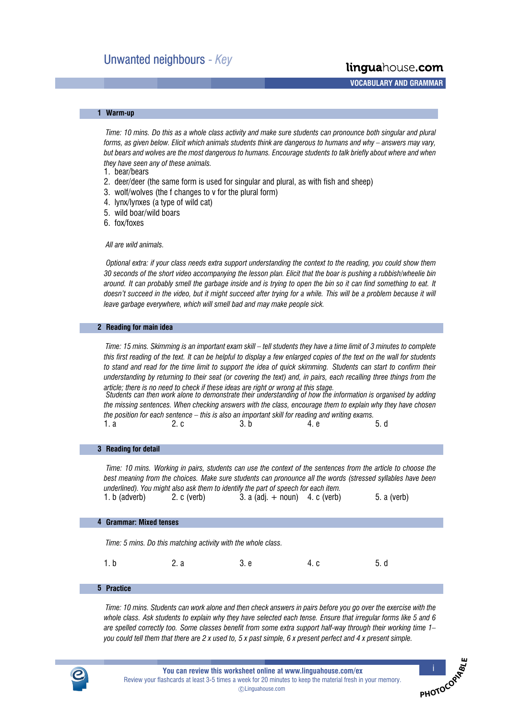linguahouse.com

**A A A A VOCABULARY AND GRAMMAR**

#### **1**- **Warm-up**

*Time: 10 mins. Do this as a whole class activity and make sure students can pronounce both singular and plural forms, as given below. Elicit which animals students think are dangerous to humans and why answers may vary, but bears and wolves are the most dangerous to humans. Encourage students to talk briefly about where and when they have seen any of these animals.*

1. bear/bears

- 2. deer/deer (the same form is used for singular and plural, as with fish and sheep)
- 3. wolf/wolves (the f changes to v for the plural form)
- 4. lynx/lynxes (a type of wild cat)
- 5. wild boar/wild boars
- 6. fox/foxes

*All are wild animals.*

*Optional extra: if your class needs extra support understanding the context to the reading, you could show them 30 seconds of the short video accompanying the lesson plan. Elicit that the boar is pushing a rubbish/wheelie bin around. It can probably smell the garbage inside and is trying to open the bin so it can find something to eat. It doesn't succeed in the video, but it might succeed after trying for a while. This will be a problem because it will leave garbage everywhere, which will smell bad and may make people sick.*

#### **2**- **Reading for main idea**

*Time: 15 mins. Skimming is an important exam skill – tell students they have a time limit of 3 minutes to complete this first reading of the text. It can be helpful to display a few enlarged copies of the text on the wall for students to stand and read for the time limit to support the idea of quick skimming. Students can start to confirm their understanding by returning to their seat (or covering the text) and, in pairs, each recalling three things from the article; there is no need to check if these ideas are right or wrong at this stage.*

*Students can then work alone to demonstrate their understanding of how the information is organised by adding the missing sentences. When checking answers with the class, encourage them to explain why they have chosen the position for each sentence this is also an important skill for reading and writing exams.* 1. a 2. c 3. b 4. e 5. d

#### **3**- **Reading for detail**

*Time: 10 mins. Working in pairs, students can use the context of the sentences from the article to choose the best meaning from the choices. Make sure students can pronounce all the words (stressed syllables have been underlined). You might also ask them to identify the part of speech for each item.* 1. b (adverb) 2. c (verb) 3. a (adj. + noun) 4. c (verb) 5. a (verb)

#### **4**- **Grammar: Mixed tenses**

*Time: 5 mins. Do this matching activity with the whole class.*

1. b 2. a 3. e 4. c 5. d

#### **5**- **Practice**

*Time: 10 mins. Students can work alone and then check answers in pairs before you go over the exercise with the whole class. Ask students to explain why they have selected each tense. Ensure that irregular forms like 5 and 6 are spelled correctly too. Some classes benefit from some extra support half-way through their working time 1 you could tell them that there are 2 x used to, 5 x past simple, 6 x present perfect and 4 x present simple.*